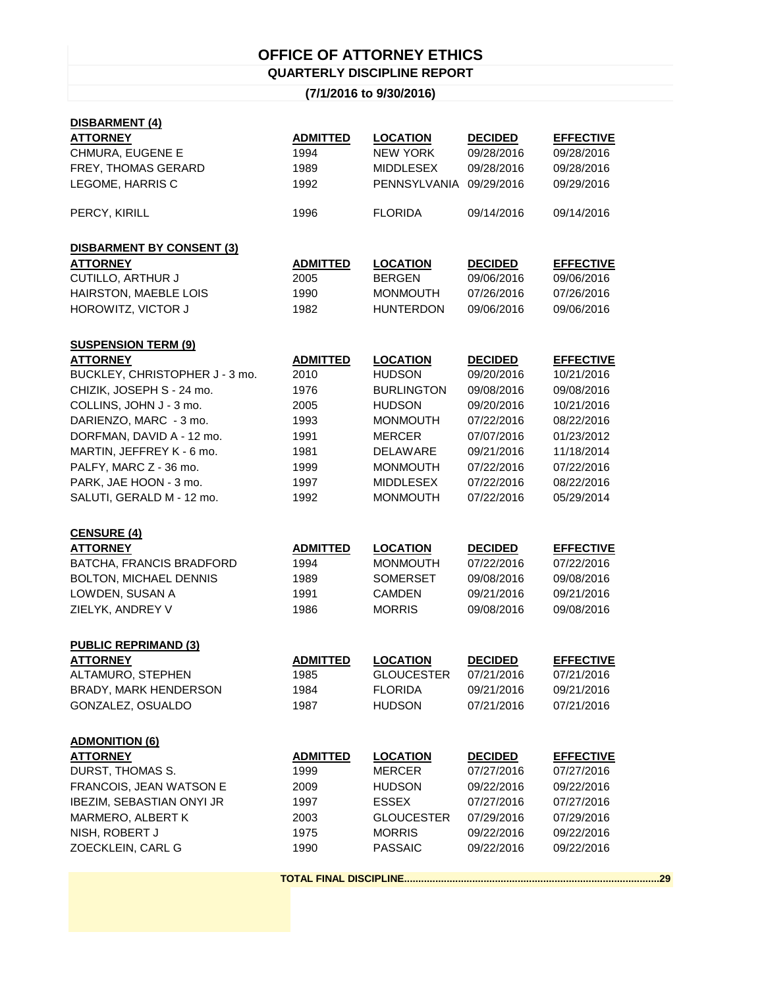## **OFFICE OF ATTORNEY ETHICS QUARTERLY DISCIPLINE REPORT**

## **(7/1/2016 to 9/30/2016)**

| DISBARMENT (4)                   |                 |                         |                |                  |  |  |
|----------------------------------|-----------------|-------------------------|----------------|------------------|--|--|
| <b>ATTORNEY</b>                  | <b>ADMITTED</b> | <b>LOCATION</b>         | <b>DECIDED</b> | <b>EFFECTIVE</b> |  |  |
| CHMURA, EUGENE E                 | 1994            | <b>NEW YORK</b>         | 09/28/2016     | 09/28/2016       |  |  |
| FREY, THOMAS GERARD              | 1989            | <b>MIDDLESEX</b>        | 09/28/2016     | 09/28/2016       |  |  |
| LEGOME, HARRIS C                 | 1992            | PENNSYLVANIA 09/29/2016 |                | 09/29/2016       |  |  |
| PERCY, KIRILL                    | 1996            | <b>FLORIDA</b>          | 09/14/2016     | 09/14/2016       |  |  |
| <b>DISBARMENT BY CONSENT (3)</b> |                 |                         |                |                  |  |  |
| <b>ATTORNEY</b>                  | <b>ADMITTED</b> | <b>LOCATION</b>         | <b>DECIDED</b> | <b>EFFECTIVE</b> |  |  |
| CUTILLO, ARTHUR J                | 2005            | <b>BERGEN</b>           | 09/06/2016     | 09/06/2016       |  |  |
| HAIRSTON, MAEBLE LOIS            | 1990            | <b>MONMOUTH</b>         | 07/26/2016     | 07/26/2016       |  |  |
| HOROWITZ, VICTOR J               | 1982            | <b>HUNTERDON</b>        | 09/06/2016     | 09/06/2016       |  |  |
| <b>SUSPENSION TERM (9)</b>       |                 |                         |                |                  |  |  |
| <b>ATTORNEY</b>                  | <b>ADMITTED</b> | <b>LOCATION</b>         | <b>DECIDED</b> | <b>EFFECTIVE</b> |  |  |
| BUCKLEY, CHRISTOPHER J - 3 mo.   | 2010            | <b>HUDSON</b>           | 09/20/2016     | 10/21/2016       |  |  |
| CHIZIK, JOSEPH S - 24 mo.        | 1976            | <b>BURLINGTON</b>       | 09/08/2016     | 09/08/2016       |  |  |
| COLLINS, JOHN J - 3 mo.          | 2005            | <b>HUDSON</b>           | 09/20/2016     | 10/21/2016       |  |  |
| DARIENZO, MARC - 3 mo.           | 1993            | <b>MONMOUTH</b>         | 07/22/2016     | 08/22/2016       |  |  |
| DORFMAN, DAVID A - 12 mo.        | 1991            | <b>MERCER</b>           | 07/07/2016     | 01/23/2012       |  |  |
| MARTIN, JEFFREY K - 6 mo.        | 1981            | <b>DELAWARE</b>         | 09/21/2016     | 11/18/2014       |  |  |
| PALFY, MARC Z - 36 mo.           | 1999            | <b>MONMOUTH</b>         | 07/22/2016     | 07/22/2016       |  |  |
| PARK, JAE HOON - 3 mo.           | 1997            | <b>MIDDLESEX</b>        | 07/22/2016     | 08/22/2016       |  |  |
| SALUTI, GERALD M - 12 mo.        | 1992            | <b>MONMOUTH</b>         | 07/22/2016     | 05/29/2014       |  |  |
| <b>CENSURE (4)</b>               |                 |                         |                |                  |  |  |
| <b>ATTORNEY</b>                  | <b>ADMITTED</b> | <b>LOCATION</b>         | <b>DECIDED</b> | <b>EFFECTIVE</b> |  |  |
| BATCHA, FRANCIS BRADFORD         | 1994            | <b>MONMOUTH</b>         | 07/22/2016     | 07/22/2016       |  |  |
| <b>BOLTON, MICHAEL DENNIS</b>    | 1989            | <b>SOMERSET</b>         | 09/08/2016     | 09/08/2016       |  |  |
| LOWDEN, SUSAN A                  | 1991            | <b>CAMDEN</b>           | 09/21/2016     | 09/21/2016       |  |  |
| ZIELYK, ANDREY V                 | 1986            | <b>MORRIS</b>           | 09/08/2016     | 09/08/2016       |  |  |
| <b>PUBLIC REPRIMAND (3)</b>      |                 |                         |                |                  |  |  |
| <b>ATTORNEY</b>                  | <b>ADMITTED</b> | <b>LOCATION</b>         | <b>DECIDED</b> | <b>EFFECTIVE</b> |  |  |
| ALTAMURO, STEPHEN                | 1985            | <b>GLOUCESTER</b>       | 07/21/2016     | 07/21/2016       |  |  |
| <b>BRADY, MARK HENDERSON</b>     | 1984            | <b>FLORIDA</b>          | 09/21/2016     | 09/21/2016       |  |  |
| GONZALEZ, OSUALDO                | 1987            | <b>HUDSON</b>           | 07/21/2016     | 07/21/2016       |  |  |
| <b>ADMONITION (6)</b>            |                 |                         |                |                  |  |  |
| <b>ATTORNEY</b>                  | <b>ADMITTED</b> | <b>LOCATION</b>         | <b>DECIDED</b> | <b>EFFECTIVE</b> |  |  |
| DURST, THOMAS S.                 | 1999            | <b>MERCER</b>           | 07/27/2016     | 07/27/2016       |  |  |
| FRANCOIS, JEAN WATSON E          | 2009            | <b>HUDSON</b>           | 09/22/2016     | 09/22/2016       |  |  |
| <b>IBEZIM, SEBASTIAN ONYI JR</b> | 1997            | <b>ESSEX</b>            | 07/27/2016     | 07/27/2016       |  |  |
| MARMERO, ALBERT K                | 2003            | <b>GLOUCESTER</b>       | 07/29/2016     | 07/29/2016       |  |  |
| NISH, ROBERT J                   | 1975            | <b>MORRIS</b>           | 09/22/2016     | 09/22/2016       |  |  |
| ZOECKLEIN, CARL G                | 1990            | <b>PASSAIC</b>          | 09/22/2016     | 09/22/2016       |  |  |
|                                  |                 |                         |                |                  |  |  |
|                                  |                 |                         |                |                  |  |  |